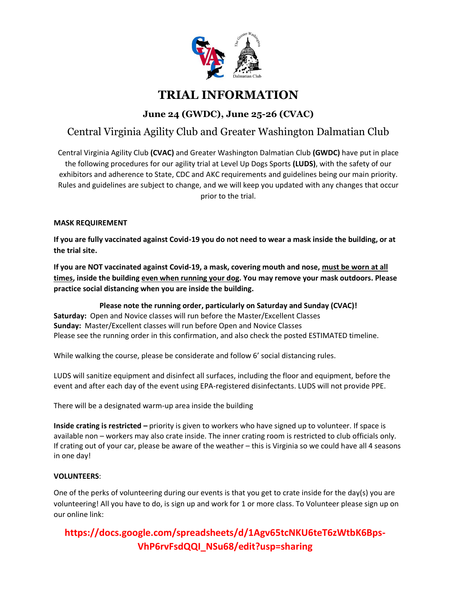

# **TRIAL INFORMATION**

**June 24 (GWDC), June 25-26 (CVAC)**

# Central Virginia Agility Club and Greater Washington Dalmatian Club

Central Virginia Agility Club **(CVAC)** and Greater Washington Dalmatian Club **(GWDC)** have put in place the following procedures for our agility trial at Level Up Dogs Sports **(LUDS)**, with the safety of our exhibitors and adherence to State, CDC and AKC requirements and guidelines being our main priority. Rules and guidelines are subject to change, and we will keep you updated with any changes that occur prior to the trial.

### **MASK REQUIREMENT**

**If you are fully vaccinated against Covid-19 you do not need to wear a mask inside the building, or at the trial site.**

**If you are NOT vaccinated against Covid-19, a mask, covering mouth and nose, must be worn at all times, inside the building even when running your dog. You may remove your mask outdoors. Please practice social distancing when you are inside the building.**

**Please note the running order, particularly on Saturday and Sunday (CVAC)! Saturday:** Open and Novice classes will run before the Master/Excellent Classes **Sunday:** Master/Excellent classes will run before Open and Novice Classes Please see the running order in this confirmation, and also check the posted ESTIMATED timeline.

While walking the course, please be considerate and follow 6' social distancing rules.

LUDS will sanitize equipment and disinfect all surfaces, including the floor and equipment, before the event and after each day of the event using EPA-registered disinfectants. LUDS will not provide PPE.

There will be a designated warm-up area inside the building

**Inside crating is restricted –** priority is given to workers who have signed up to volunteer. If space is available non – workers may also crate inside. The inner crating room is restricted to club officials only. If crating out of your car, please be aware of the weather – this is Virginia so we could have all 4 seasons in one day!

### **VOLUNTEERS**:

One of the perks of volunteering during our events is that you get to crate inside for the day(s) you are volunteering! All you have to do, is sign up and work for 1 or more class. To Volunteer please sign up on our online link:

# **https://docs.google.com/spreadsheets/d/1Agv65tcNKU6teT6zWtbK6Bps-VhP6rvFsdQQI\_NSu68/edit?usp=sharing**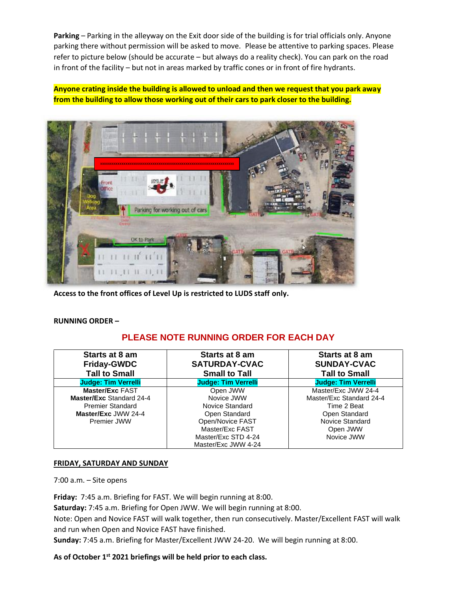**Parking** – Parking in the alleyway on the Exit door side of the building is for trial officials only. Anyone parking there without permission will be asked to move. Please be attentive to parking spaces. Please refer to picture below (should be accurate – but always do a reality check). You can park on the road in front of the facility – but not in areas marked by traffic cones or in front of fire hydrants.

**Anyone crating inside the building is allowed to unload and then we request that you park away from the building to allow those working out of their cars to park closer to the building.**



**Access to the front offices of Level Up is restricted to LUDS staff only.**

### **RUNNING ORDER –**

### **PLEASE NOTE RUNNING ORDER FOR EACH DAY**

| Starts at 8 am<br><b>Friday-GWDC</b><br><b>Tall to Small</b> | Starts at 8 am<br><b>SATURDAY-CVAC</b><br><b>Small to Tall</b> | Starts at 8 am<br><b>SUNDAY-CVAC</b><br><b>Tall to Small</b> |
|--------------------------------------------------------------|----------------------------------------------------------------|--------------------------------------------------------------|
| <b>Judge: Tim Verrelli</b>                                   | <b>Judge: Tim Verrelli</b>                                     | <b>Judge: Tim Verrelli</b>                                   |
| <b>Master/Exc FAST</b>                                       | Open JWW                                                       | Master/Exc JWW 24-4                                          |
| <b>Master/Exc Standard 24-4</b>                              | Novice JWW                                                     | Master/Exc Standard 24-4                                     |
| <b>Premier Standard</b>                                      | Novice Standard                                                | Time 2 Beat                                                  |
| Master/Exc JWW 24-4                                          | Open Standard                                                  | Open Standard                                                |
| Premier JWW                                                  | Open/Novice FAST                                               | <b>Novice Standard</b>                                       |
|                                                              | Master/Exc FAST                                                | Open JWW                                                     |
|                                                              | Master/Exc STD 4-24                                            | Novice JWW                                                   |
|                                                              | Master/Exc JWW 4-24                                            |                                                              |

### **FRIDAY, SATURDAY AND SUNDAY**

7:00 a.m. – Site opens

**Friday:** 7:45 a.m. Briefing for FAST. We will begin running at 8:00.

**Saturday:** 7:45 a.m. Briefing for Open JWW. We will begin running at 8:00.

Note: Open and Novice FAST will walk together, then run consecutively. Master/Excellent FAST will walk and run when Open and Novice FAST have finished.

**Sunday:** 7:45 a.m. Briefing for Master/Excellent JWW 24-20. We will begin running at 8:00.

**As of October 1st 2021 briefings will be held prior to each class.**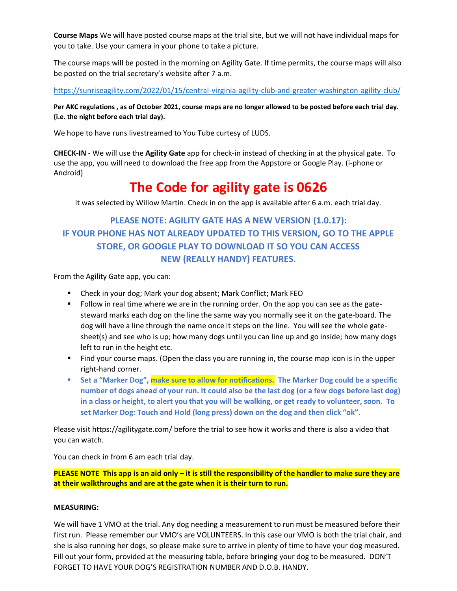**Course Maps** We will have posted course maps at the trial site, but we will not have individual maps for you to take. Use your camera in your phone to take a picture.

The course maps will be posted in the morning on Agility Gate. If time permits, the course maps will also be posted on the trial secretary's website after 7 a.m.

<https://sunriseagility.com/2022/01/15/central-virginia-agility-club-and-greater-washington-agility-club/>

**Per AKC regulations , as of October 2021, course maps are no longer allowed to be posted before each trial day. (i.e. the night before each trial day).**

We hope to have runs livestreamed to You Tube curtesy of LUDS.

**CHECK-IN** - We will use the **Agility Gate** app for check-in instead of checking in at the physical gate. To use the app, you will need to download the free app from the Appstore or Google Play. (i-phone or Android)

# **The Code for agility gate is 0626**

it was selected by Willow Martin. Check in on the app is available after 6 a.m. each trial day.

### **PLEASE NOTE: AGILITY GATE HAS A NEW VERSION (1.0.17): IF YOUR PHONE HAS NOT ALREADY UPDATED TO THIS VERSION, GO TO THE APPLE STORE, OR GOOGLE PLAY TO DOWNLOAD IT SO YOU CAN ACCESS NEW (REALLY HANDY) FEATURES.**

From the Agility Gate app, you can:

- Check in your dog; Mark your dog absent; Mark Conflict; Mark FEO
- Follow in real time where we are in the running order. On the app you can see as the gatesteward marks each dog on the line the same way you normally see it on the gate-board. The dog will have a line through the name once it steps on the line. You will see the whole gatesheet(s) and see who is up; how many dogs until you can line up and go inside; how many dogs left to run in the height etc.
- Find your course maps. (Open the class you are running in, the course map icon is in the upper right-hand corner.
- Set a "Marker Dog", make sure to allow for notifications. The Marker Dog could be a specific **number of dogs ahead of your run. It could also be the last dog (or a few dogs before last dog) in a class or height, to alert you that you will be walking, or get ready to volunteer, soon. To set Marker Dog: Touch and Hold (long press) down on the dog and then click "ok".**

Please visi[t https://agilitygate.com/](https://agilitygate.com/) before the trial to see how it works and there is also a video that you can watch.

You can check in from 6 am each trial day.

**PLEASE NOTE This app is an aid only – it is still the responsibility of the handler to make sure they are at their walkthroughs and are at the gate when it is their turn to run.**

### **MEASURING:**

We will have 1 VMO at the trial. Any dog needing a measurement to run must be measured before their first run. Please remember our VMO's are VOLUNTEERS. In this case our VMO is both the trial chair, and she is also running her dogs, so please make sure to arrive in plenty of time to have your dog measured. Fill out your form, provided at the measuring table, before bringing your dog to be measured. DON'T FORGET TO HAVE YOUR DOG'S REGISTRATION NUMBER AND D.O.B. HANDY.